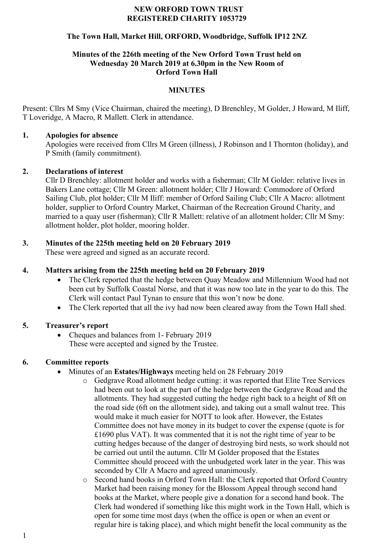#### **NEW ORFORD TOWN TRUST REGISTERED CHARITY 1053729**

## **The Town Hall, Market Hill, ORFORD, Woodbridge, Suffolk IP12 2NZ**

#### **Minutes of the 226th meeting of the New Orford Town Trust held on Wednesday 20 March 2019 at 6.30pm in the New Room of Orford Town Hall**

### **MINUTES**

Present: Cllrs M Smy (Vice Chairman, chaired the meeting), D Brenchley, M Golder, J Howard, M Iliff, T Loveridge, A Macro, R Mallett. Clerk in attendance.

### **1. Apologies for absence**

Apologies were received from Cllrs M Green (illness), J Robinson and I Thornton (holiday), and P Smith (family commitment).

## **2. Declarations of interest**

Cllr D Brenchley: allotment holder and works with a fisherman; Cllr M Golder: relative lives in Bakers Lane cottage; Cllr M Green: allotment holder; Cllr J Howard: Commodore of Orford Sailing Club, plot holder; Cllr M Iliff: member of Orford Sailing Club; Cllr A Macro: allotment holder, supplier to Orford Country Market, Chairman of the Recreation Ground Charity, and married to a quay user (fisherman); Cllr R Mallett: relative of an allotment holder; Cllr M Smy: allotment holder, plot holder, mooring holder.

# **3. Minutes of the 225th meeting held on 20 February 2019**

These were agreed and signed as an accurate record.

## **4. Matters arising from the 225th meeting held on 20 February 2019**

- The Clerk reported that the hedge between Quay Meadow and Millennium Wood had not been cut by Suffolk Coastal Norse, and that it was now too late in the year to do this. The Clerk will contact Paul Tynan to ensure that this won't now be done.
- The Clerk reported that all the ivy had now been cleared away from the Town Hall shed.

# **5. Treasurer's report**

• Cheques and balances from 1- February 2019 These were accepted and signed by the Trustee.

### **6. Committee reports**

- Minutes of an **Estates/Highways** meeting held on 28 February 2019
	- o Gedgrave Road allotment hedge cutting: it was reported that Elite Tree Services had been out to look at the part of the hedge between the Gedgrave Road and the allotments. They had suggested cutting the hedge right back to a height of 8ft on the road side (6ft on the allotment side), and taking out a small walnut tree. This would make it much easier for NOTT to look after. However, the Estates Committee does not have money in its budget to cover the expense (quote is for £1690 plus VAT). It was commented that it is not the right time of year to be cutting hedges because of the danger of destroying bird nests, so work should not be carried out until the autumn. Cllr M Golder proposed that the Estates Committee should proceed with the unbudgeted work later in the year. This was seconded by Cllr A Macro and agreed unanimously.
	- o Second hand books in Orford Town Hall: the Clerk reported that Orford Country Market had been raising money for the Blossom Appeal through second hand books at the Market, where people give a donation for a second hand book. The Clerk had wondered if something like this might work in the Town Hall, which is open for some time most days (when the office is open or when an event or regular hire is taking place), and which might benefit the local community as the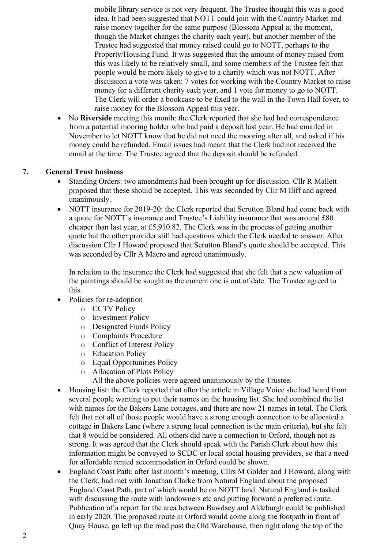mobile library service is not very frequent. The Trustee thought this was a good idea. It had been suggested that NOTT could join with the Country Market and raise money together for the same purpose (Blossom Appeal at the moment, though the Market changes the charity each year), but another member of the Trustee had suggested that money raised could go to NOTT, perhaps to the Property/Housing Fund. It was suggested that the amount of money raised from this was likely to be relatively small, and some members of the Trustee felt that people would be more likely to give to a charity which was not NOTT. After discussion a vote was taken: 7 votes for working with the Country Market to raise money for a different charity each year, and 1 vote for money to go to NOTT. The Clerk will order a bookcase to be fixed to the wall in the Town Hall foyer, to raise money for the Blossom Appeal this year.

• No **Riverside** meeting this month: the Clerk reported that she had had correspondence from a potential mooring holder who had paid a deposit last year. He had emailed in November to let NOTT know that he did not need the mooring after all, and asked if his money could be refunded. Email issues had meant that the Clerk had not received the email at the time. The Trustee agreed that the deposit should be refunded.

### **7. General Trust business**

- Standing Orders: two amendments had been brought up for discussion. Cllr R Mallett proposed that these should be accepted. This was seconded by Cllr M Iliff and agreed unanimously.
- NOTT insurance for 2019-20: the Clerk reported that Scrutton Bland had come back with a quote for NOTT's insurance and Trustee's Liability insurance that was around £80 cheaper than last year, at £5,910.82. The Clerk was in the process of getting another quote but the other provider still had questions which the Clerk needed to answer. After discussion Cllr J Howard proposed that Scrutton Bland's quote should be accepted. This was seconded by Cllr A Macro and agreed unanimously.

In relation to the insurance the Clerk had suggested that she felt that a new valuation of the paintings should be sought as the current one is out of date. The Trustee agreed to this.

- Policies for re-adoption
	- o CCTV Policy
	- o Investment Policy
	- o Designated Funds Policy
	- o Complaints Procedure
	- o Conflict of Interest Policy
	- o Education Policy
	- o Equal Opportunities Policy
	- o Allocation of Plots Policy
		- All the above policies were agreed unanimously by the Trustee.
- Housing list: the Clerk reported that after the article in Village Voice she had heard from several people wanting to put their names on the housing list. She had combined the list with names for the Bakers Lane cottages, and there are now 21 names in total. The Clerk felt that not all of those people would have a strong enough connection to be allocated a cottage in Bakers Lane (where a strong local connection is the main criteria), but she felt that 8 would be considered. All others did have a connection to Orford, though not as strong. It was agreed that the Clerk should speak with the Parish Clerk about how this information might be conveyed to SCDC or local social housing providers, so that a need for affordable rented accommodation in Orford could be shown.
- England Coast Path: after last month's meeting, Cllrs M Golder and J Howard, along with the Clerk, had met with Jonathan Clarke from Natural England about the proposed England Coast Path, part of which would be on NOTT land. Natural England is tasked with discussing the route with landowners etc and putting forward a preferred route. Publication of a report for the area between Bawdsey and Aldeburgh could be published in early 2020. The proposed route in Orford would come along the footpath in front of Quay House, go left up the road past the Old Warehouse, then right along the top of the